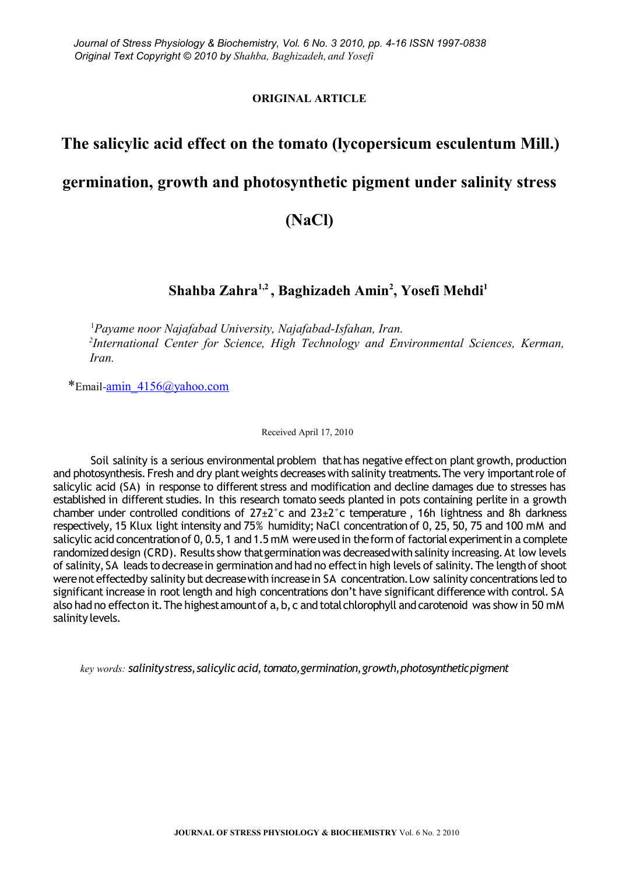#### **ORIGINAL ARTICLE**

# **The salicylic acid effect on the tomato (lycopersicum esculentum Mill.) germination, growth and photosynthetic pigment under salinity stress**

## **(NaCl)**

## **Shahba Zahra1,2 , Baghizadeh Amin<sup>2</sup> , Yosefi Mehdi<sup>1</sup>**

<sup>1</sup>*Payame noor Najafabad University, Najafabad-Isfahan, Iran. 2 International Center for Science, High Technology and Environmental Sciences, Kerman, Iran.*

\*Email- $\frac{1}{2}$ min  $\frac{4156}{\omega}$ yahoo.com

Received April 17, 2010

Soil salinity is a serious environmental problem that has negative effect on plant growth, production and photosynthesis. Fresh and dry plant weights decreases with salinity treatments. The very important role of salicylic acid (SA) in response to different stress and modification and decline damages due to stresses has established in different studies. In this research tomato seeds planted in pots containing perlite in a growth chamber under controlled conditions of  $27\pm2^{\circ}$ c and  $23\pm2^{\circ}$ c temperature, 16h lightness and 8h darkness respectively, 15 Klux light intensity and 75% humidity; NaCl concentration of 0, 25, 50, 75 and 100 mM and salicylic acid concentration of 0, 0.5, 1 and 1.5 mM were used in the form of factorial experiment in a complete randomized design (CRD). Results show that germination was decreased with salinity increasing. At low levels of salinity, SA leads to decrease in germination and had no effect in high levels of salinity. The length of shoot were not effected by salinity but decrease with increase in SA concentration. Low salinity concentrations led to significant increase in root length and high concentrations don't have significant difference with control. SA also had no effect on it. The highest amount of a, b, c and total chlorophyll and carotenoid was show in 50 mM salinity levels.

*key words: salinity stress, salicylic acid, tomato, germination, growth, photosynthetic pigment*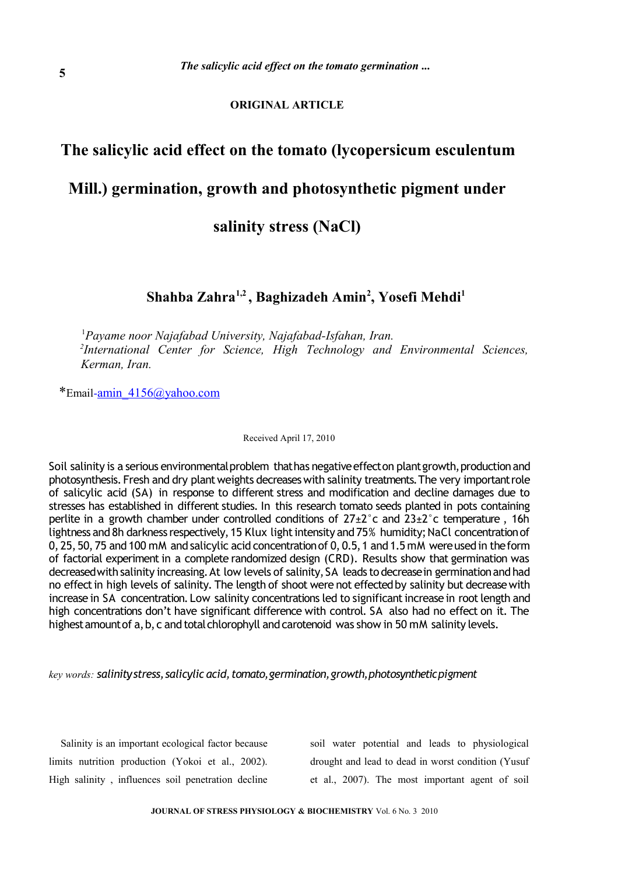#### **ORIGINAL ARTICLE**

## **The salicylic acid effect on the tomato (lycopersicum esculentum**

## **Mill.) germination, growth and photosynthetic pigment under**

**salinity stress (NaCl)**

### **Shahba Zahra1,2 , Baghizadeh Amin<sup>2</sup> , Yosefi Mehdi<sup>1</sup>**

<sup>1</sup>*Payame noor Najafabad University, Najafabad-Isfahan, Iran. 2 International Center for Science, High Technology and Environmental Sciences, Kerman, Iran.*

\*Email-amin\_4156@yahoo.com

Received April 17, 2010

Soil salinity is a serious environmental problem that has negative effect on plant growth, production and photosynthesis. Fresh and dry plant weights decreases with salinity treatments. The very important role of salicylic acid (SA) in response to different stress and modification and decline damages due to stresses has established in different studies. In this research tomato seeds planted in pots containing perlite in a growth chamber under controlled conditions of  $27\pm2^{\circ}$ c and  $23\pm2^{\circ}$ c temperature, 16h lightness and 8h darkness respectively, 15 Klux light intensity and 75% humidity; NaCl concentration of 0, 25, 50, 75 and 100 mM and salicylic acid concentration of 0, 0.5, 1 and 1.5 mM were used in the form of factorial experiment in a complete randomized design (CRD). Results show that germination was decreased with salinity increasing. At low levels of salinity, SA leads to decrease in germination and had no effect in high levels of salinity. The length of shoot were not effected by salinity but decrease with increase in SA concentration. Low salinity concentrations led to significant increase in root length and high concentrations don't have significant difference with control. SA also had no effect on it. The highest amount of a, b, c and total chlorophyll and carotenoid was show in 50 mM salinity levels.

*key words: salinity stress, salicylic acid, tomato, germination, growth, photosynthetic pigment*

Salinity is an important ecological factor because limits nutrition production (Yokoi et al., 2002). High salinity , influences soil penetration decline

soil water potential and leads to physiological drought and lead to dead in worst condition (Yusuf et al., 2007). The most important agent of soil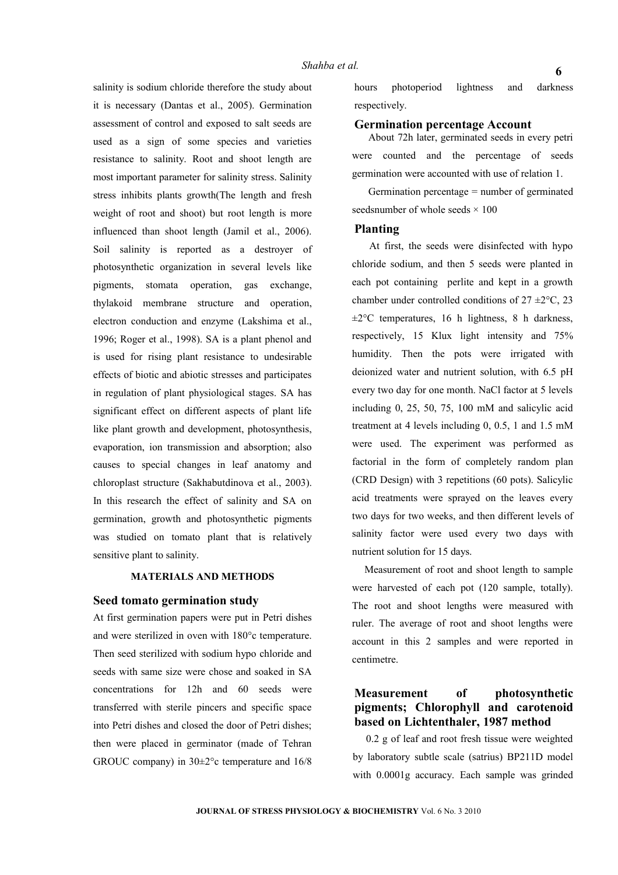salinity is sodium chloride therefore the study about it is necessary (Dantas et al., 2005). Germination assessment of control and exposed to salt seeds are used as a sign of some species and varieties resistance to salinity. Root and shoot length are most important parameter for salinity stress. Salinity stress inhibits plants growth(The length and fresh weight of root and shoot) but root length is more influenced than shoot length (Jamil et al., 2006). Soil salinity is reported as a destroyer of photosynthetic organization in several levels like pigments, stomata operation, gas exchange, thylakoid membrane structure and operation, electron conduction and enzyme (Lakshima et al., 1996; Roger et al., 1998). SA is a plant phenol and is used for rising plant resistance to undesirable effects of biotic and abiotic stresses and participates in regulation of plant physiological stages. SA has significant effect on different aspects of plant life like plant growth and development, photosynthesis, evaporation, ion transmission and absorption; also causes to special changes in leaf anatomy and chloroplast structure (Sakhabutdinova et al., 2003). In this research the effect of salinity and SA on germination, growth and photosynthetic pigments was studied on tomato plant that is relatively sensitive plant to salinity.

#### **MATERIALS AND METHODS**

#### **Seed tomato germination study**

At first germination papers were put in Petri dishes and were sterilized in oven with 180°c temperature. Then seed sterilized with sodium hypo chloride and seeds with same size were chose and soaked in SA concentrations for 12h and 60 seeds were transferred with sterile pincers and specific space into Petri dishes and closed the door of Petri dishes; then were placed in germinator (made of Tehran GROUC company) in 30±2°c temperature and 16/8

hours photoperiod lightness and darkness respectively.

#### **Germination percentage Account**

About 72h later, germinated seeds in every petri were counted and the percentage of seeds germination were accounted with use of relation 1.

Germination percentage = number of germinated seedsnumber of whole seeds  $\times$  100

#### **Planting**

At first, the seeds were disinfected with hypo chloride sodium, and then 5 seeds were planted in each pot containing perlite and kept in a growth chamber under controlled conditions of  $27 \pm 2^{\circ}$ C, 23  $\pm 2^{\circ}$ C temperatures, 16 h lightness, 8 h darkness, respectively, 15 Klux light intensity and 75% humidity. Then the pots were irrigated with deionized water and nutrient solution, with 6.5 pH every two day for one month. NaCl factor at 5 levels including 0, 25, 50, 75, 100 mM and salicylic acid treatment at 4 levels including 0, 0.5, 1 and 1.5 mM were used. The experiment was performed as factorial in the form of completely random plan (CRD Design) with 3 repetitions (60 pots). Salicylic acid treatments were sprayed on the leaves every two days for two weeks, and then different levels of salinity factor were used every two days with nutrient solution for 15 days.

Measurement of root and shoot length to sample were harvested of each pot (120 sample, totally). The root and shoot lengths were measured with ruler. The average of root and shoot lengths were account in this 2 samples and were reported in centimetre.

#### **Measurement of photosynthetic pigments; Chlorophyll and carotenoid based on Lichtenthaler, 1987 method**

0.2 g of leaf and root fresh tissue were weighted by laboratory subtle scale (satrius) BP211D model with 0.0001g accuracy. Each sample was grinded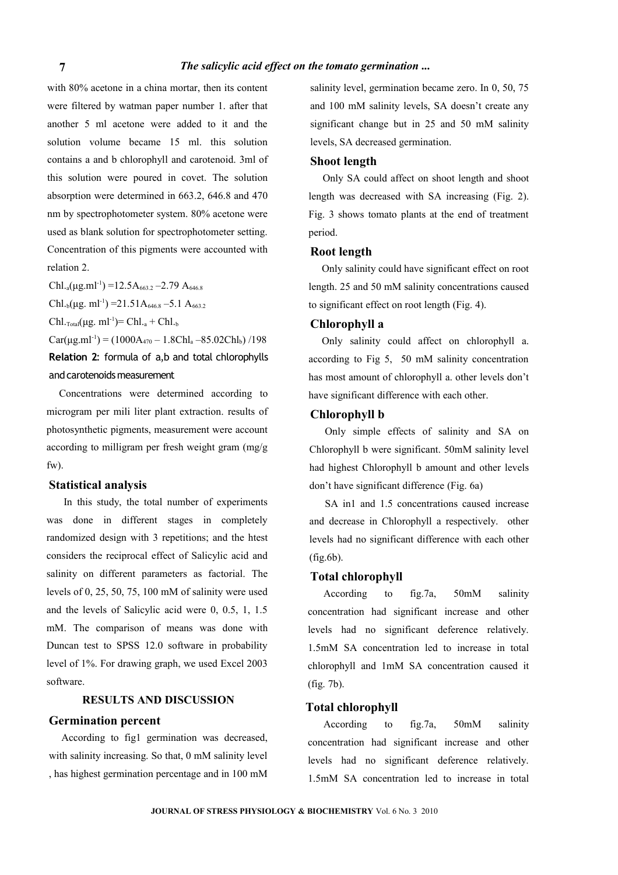with 80% acetone in a china mortar, then its content were filtered by watman paper number 1. after that another 5 ml acetone were added to it and the solution volume became 15 ml. this solution contains a and b chlorophyll and carotenoid. 3ml of this solution were poured in covet. The solution absorption were determined in 663.2, 646.8 and 470 nm by spectrophotometer system. 80% acetone were used as blank solution for spectrophotometer setting. Concentration of this pigments were accounted with relation 2.

Chl.<sub>a</sub>( $\mu$ g.ml<sup>-1</sup>) =12.5A<sub>663.2</sub> -2.79 A<sub>646.8</sub> Chl<sub>,b</sub>(μg. ml<sup>-1</sup>) = 21.51A<sub>646.8</sub> – 5.1 A<sub>663.2</sub>

Chl.<sub>Total</sub>( $\mu$ g. ml<sup>-1</sup>)= Chl.<sub>a</sub> + Chl.<sub>b</sub>

 $Car(µg.ml<sup>-1</sup>) = (1000A<sub>470</sub> - 1.8Chl<sub>a</sub> - 85.02Chl<sub>b</sub>) /198$ **Relation 2**: formula of a,b and total chlorophylls and carotenoids measurement

Concentrations were determined according to microgram per mili liter plant extraction. results of photosynthetic pigments, measurement were account according to milligram per fresh weight gram (mg/g fw).

#### **Statistical analysis**

In this study, the total number of experiments was done in different stages in completely randomized design with 3 repetitions; and the htest considers the reciprocal effect of Salicylic acid and salinity on different parameters as factorial. The levels of 0, 25, 50, 75, 100 mM of salinity were used and the levels of Salicylic acid were 0, 0.5, 1, 1.5 mM. The comparison of means was done with Duncan test to SPSS 12.0 software in probability level of 1%. For drawing graph, we used Excel 2003 software.

#### **RESULTS AND DISCUSSION**

#### **Germination percent**

According to fig1 germination was decreased, with salinity increasing. So that, 0 mM salinity level , has highest germination percentage and in 100 mM

salinity level, germination became zero. In 0, 50, 75 and 100 mM salinity levels, SA doesn't create any significant change but in 25 and 50 mM salinity levels, SA decreased germination.

#### **Shoot length**

Only SA could affect on shoot length and shoot length was decreased with SA increasing (Fig. 2). Fig. 3 shows tomato plants at the end of treatment period.

#### **Root length**

Only salinity could have significant effect on root length. 25 and 50 mM salinity concentrations caused to significant effect on root length (Fig. 4).

#### **Chlorophyll a**

Only salinity could affect on chlorophyll a. according to Fig 5, 50 mM salinity concentration has most amount of chlorophyll a. other levels don't have significant difference with each other.

#### **Chlorophyll b**

Only simple effects of salinity and SA on Chlorophyll b were significant. 50mM salinity level had highest Chlorophyll b amount and other levels don't have significant difference (Fig. 6a)

SA in1 and 1.5 concentrations caused increase and decrease in Chlorophyll a respectively. other levels had no significant difference with each other (fig.6b).

#### **Total chlorophyll**

According to fig.7a, 50mM salinity concentration had significant increase and other levels had no significant deference relatively. 1.5mM SA concentration led to increase in total chlorophyll and 1mM SA concentration caused it (fig. 7b).

#### **Total chlorophyll**

According to fig.7a, 50mM salinity concentration had significant increase and other levels had no significant deference relatively. 1.5mM SA concentration led to increase in total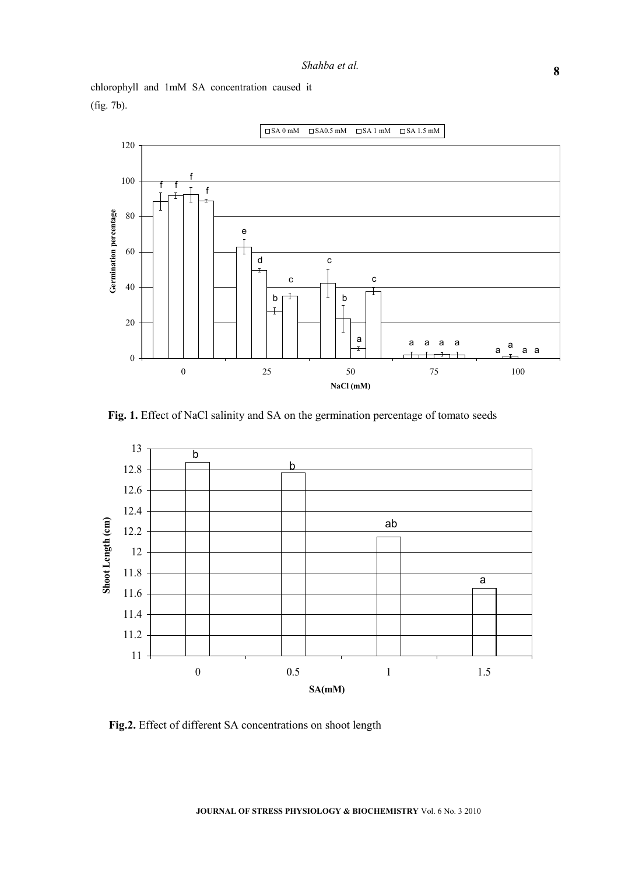chlorophyll and 1mM SA concentration caused it (fig. 7b).



**Fig. 1.** Effect of NaCl salinity and SA on the germination percentage of tomato seeds



**Fig.2.** Effect of different SA concentrations on shoot length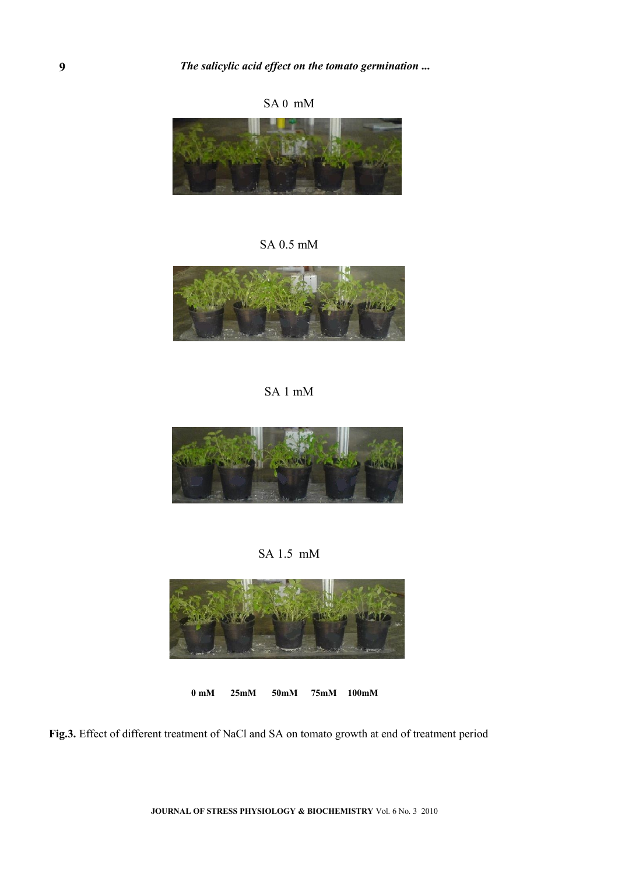















**0 mM 25mM 50mM 75mM 100mM**

**Fig.3.** Effect of different treatment of NaCl and SA on tomato growth at end of treatment period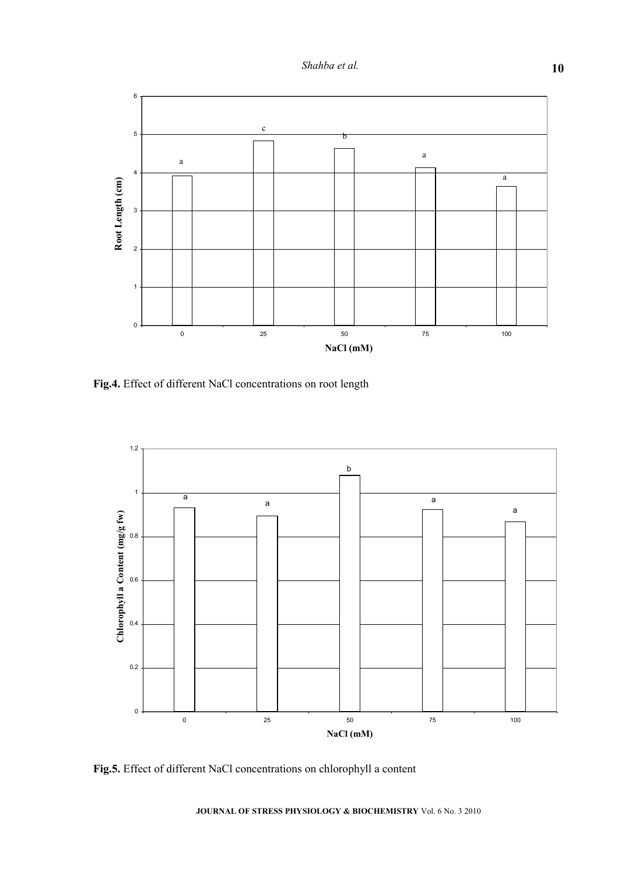

**Fig.4.** Effect of different NaCl concentrations on root length



**Fig.5.** Effect of different NaCl concentrations on chlorophyll a content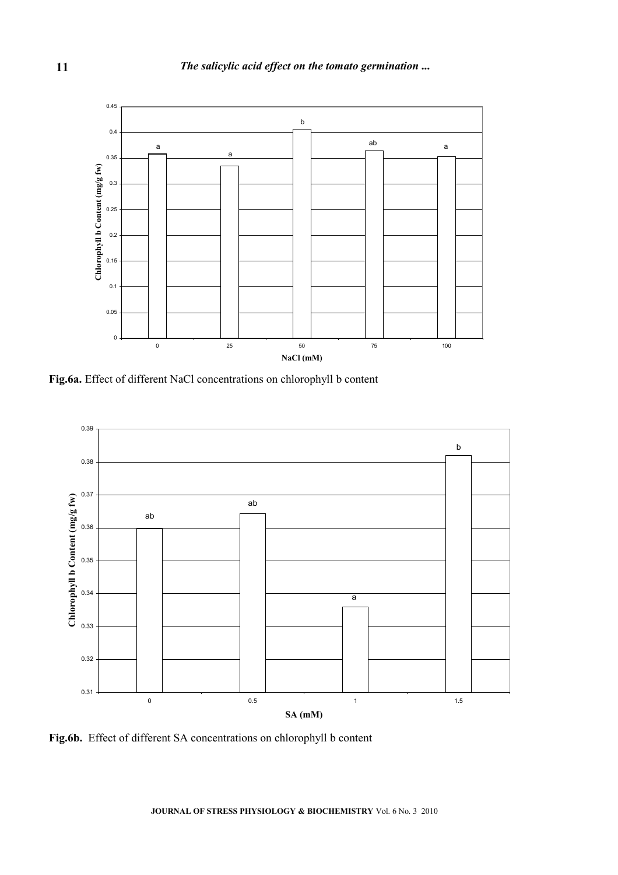

**Fig.6a.** Effect of different NaCl concentrations on chlorophyll b content



**Fig.6b.** Effect of different SA concentrations on chlorophyll b content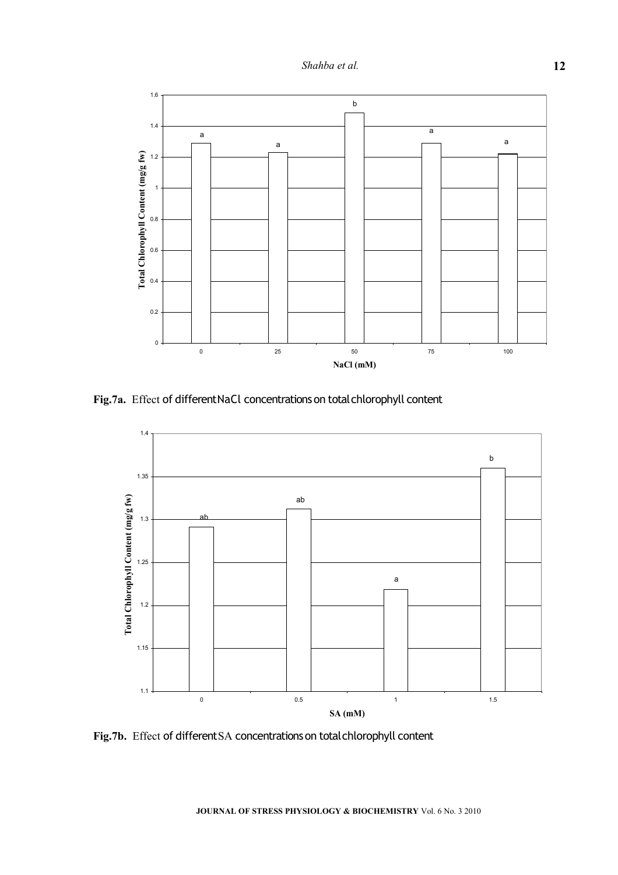

**Fig.7a.** Effect of different NaCl concentrations on total chlorophyll content



**Fig.7b.** Effect of different SA concentrations on total chlorophyll content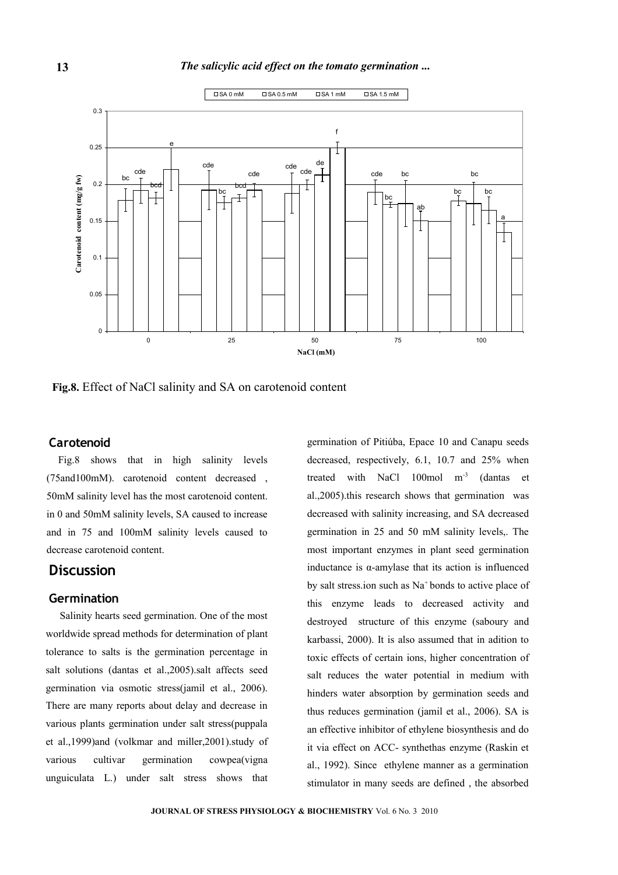

**Fig.8.** Effect of NaCl salinity and SA on carotenoid content

#### **Carotenoid**

Fig.8 shows that in high salinity levels (75and100mM). carotenoid content decreased , 50mM salinity level has the most carotenoid content. in 0 and 50mM salinity levels, SA caused to increase and in 75 and 100mM salinity levels caused to decrease carotenoid content.

#### **Discussion**

#### **Germination**

Salinity hearts seed germination. One of the most worldwide spread methods for determination of plant tolerance to salts is the germination percentage in salt solutions (dantas et al.,2005).salt affects seed germination via osmotic stress(jamil et al., 2006). There are many reports about delay and decrease in various plants germination under salt stress(puppala et al.,1999)and (volkmar and miller,2001).study of various cultivar germination cowpea(vigna unguiculata L.) under salt stress shows that

germination of Pitiúba, Epace 10 and Canapu seeds decreased, respectively, 6.1, 10.7 and 25% when treated with NaCl 100mol m-3 (dantas et al.,2005).this research shows that germination was decreased with salinity increasing, and SA decreased germination in 25 and 50 mM salinity levels,. The most important enzymes in plant seed germination inductance is  $\alpha$ -amylase that its action is influenced by salt stress.ion such as Na<sup>+</sup>bonds to active place of this enzyme leads to decreased activity and destroyed structure of this enzyme (saboury and karbassi, 2000). It is also assumed that in adition to toxic effects of certain ions, higher concentration of salt reduces the water potential in medium with hinders water absorption by germination seeds and thus reduces germination (jamil et al., 2006). SA is an effective inhibitor of ethylene biosynthesis and do it via effect on ACC- synthethas enzyme (Raskin et al., 1992). Since ethylene manner as a germination stimulator in many seeds are defined , the absorbed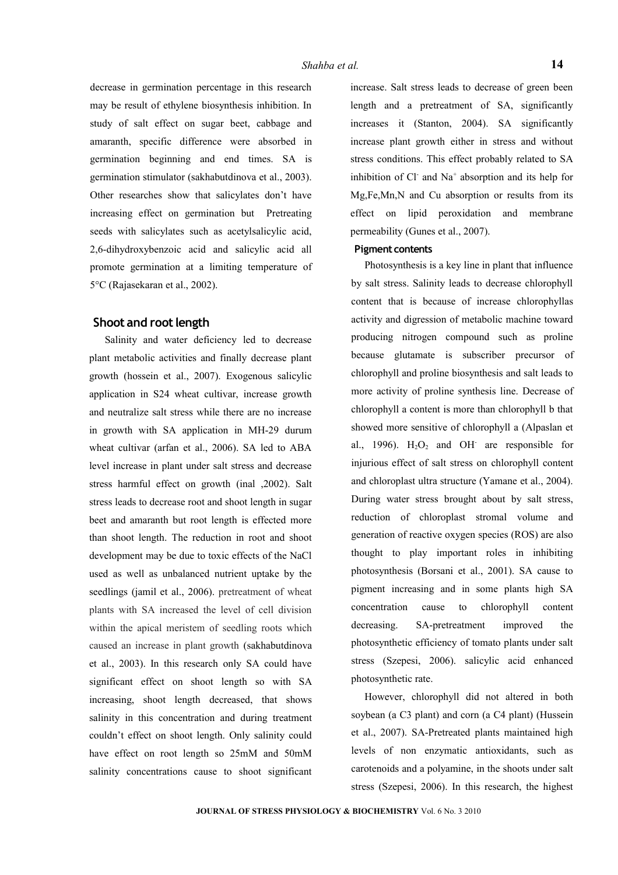decrease in germination percentage in this research may be result of ethylene biosynthesis inhibition. In study of salt effect on sugar beet, cabbage and amaranth, specific difference were absorbed in germination beginning and end times. SA is germination stimulator (sakhabutdinova et al., 2003). Other researches show that salicylates don't have increasing effect on germination but Pretreating seeds with salicylates such as acetylsalicylic acid, 2,6-dihydroxybenzoic acid and salicylic acid all promote germination at a limiting temperature of 5°C (Rajasekaran et al., 2002).

#### **Shoot and root length**

Salinity and water deficiency led to decrease plant metabolic activities and finally decrease plant growth (hossein et al., 2007). Exogenous salicylic application in S24 wheat cultivar, increase growth and neutralize salt stress while there are no increase in growth with SA application in MH-29 durum wheat cultivar (arfan et al., 2006). SA led to ABA level increase in plant under salt stress and decrease stress harmful effect on growth (inal ,2002). Salt stress leads to decrease root and shoot length in sugar beet and amaranth but root length is effected more than shoot length. The reduction in root and shoot development may be due to toxic effects of the NaCl used as well as unbalanced nutrient uptake by the seedlings (jamil et al., 2006). pretreatment of wheat plants with SA increased the level of cell division within the apical meristem of seedling roots which caused an increase in plant growth (sakhabutdinova et al., 2003). In this research only SA could have significant effect on shoot length so with SA increasing, shoot length decreased, that shows salinity in this concentration and during treatment couldn't effect on shoot length. Only salinity could have effect on root length so 25mM and 50mM salinity concentrations cause to shoot significant increase. Salt stress leads to decrease of green been length and a pretreatment of SA, significantly increases it (Stanton, 2004). SA significantly increase plant growth either in stress and without stress conditions. This effect probably related to SA inhibition of  $Cl^-$  and  $Na^+$  absorption and its help for Mg,Fe,Mn,N and Cu absorption or results from its effect on lipid peroxidation and membrane permeability (Gunes et al., 2007).

#### **Pigment contents**

Photosynthesis is a key line in plant that influence by salt stress. Salinity leads to decrease chlorophyll content that is because of increase chlorophyllas activity and digression of metabolic machine toward producing nitrogen compound such as proline because glutamate is subscriber precursor of chlorophyll and proline biosynthesis and salt leads to more activity of proline synthesis line. Decrease of chlorophyll a content is more than chlorophyll b that showed more sensitive of chlorophyll a (Alpaslan et al., 1996).  $H_2O_2$  and OH are responsible for injurious effect of salt stress on chlorophyll content and chloroplast ultra structure (Yamane et al., 2004). During water stress brought about by salt stress, reduction of chloroplast stromal volume and generation of reactive oxygen species (ROS) are also thought to play important roles in inhibiting photosynthesis (Borsani et al., 2001). SA cause to pigment increasing and in some plants high SA concentration cause to chlorophyll content decreasing. SA-pretreatment improved the photosynthetic efficiency of tomato plants under salt stress (Szepesi, 2006). salicylic acid enhanced photosynthetic rate.

However, chlorophyll did not altered in both soybean (a C3 plant) and corn (a C4 plant) (Hussein et al., 2007). SA-Pretreated plants maintained high levels of non enzymatic antioxidants, such as carotenoids and a polyamine, in the shoots under salt stress (Szepesi, 2006). In this research, the highest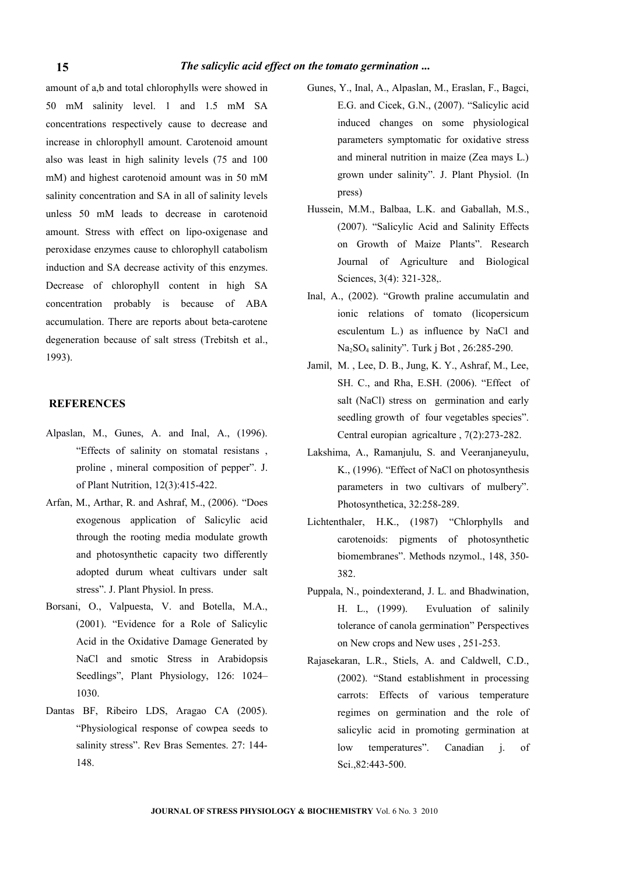amount of a,b and total chlorophylls were showed in 50 mM salinity level. 1 and 1.5 mM SA concentrations respectively cause to decrease and increase in chlorophyll amount. Carotenoid amount also was least in high salinity levels (75 and 100 mM) and highest carotenoid amount was in 50 mM salinity concentration and SA in all of salinity levels unless 50 mM leads to decrease in carotenoid amount. Stress with effect on lipo-oxigenase and peroxidase enzymes cause to chlorophyll catabolism induction and SA decrease activity of this enzymes. Decrease of chlorophyll content in high SA concentration probably is because of ABA accumulation. There are reports about beta-carotene degeneration because of salt stress (Trebitsh et al., 1993).

#### **REFERENCES**

- Alpaslan, M., Gunes, A. and Inal, A., (1996). "Effects of salinity on stomatal resistans , proline , mineral composition of pepper". J. of Plant Nutrition, 12(3):415-422.
- Arfan, M., Arthar, R. and Ashraf, M., (2006). "Does exogenous application of Salicylic acid through the rooting media modulate growth and photosynthetic capacity two differently adopted durum wheat cultivars under salt stress". J. Plant Physiol. In press.
- Borsani, O., Valpuesta, V. and Botella, M.A., (2001). "Evidence for a Role of Salicylic Acid in the Oxidative Damage Generated by NaCl and smotic Stress in Arabidopsis Seedlings", Plant Physiology, 126: 1024– 1030.
- Dantas BF, Ribeiro LDS, Aragao CA (2005). "Physiological response of cowpea seeds to salinity stress". Rev Bras Sementes. 27: 144- 148.
- Gunes, Y., Inal, A., Alpaslan, M., Eraslan, F., Bagci, E.G. and Cicek, G.N., (2007). "Salicylic acid induced changes on some physiological parameters symptomatic for oxidative stress and mineral nutrition in maize (Zea mays L.) grown under salinity". J. Plant Physiol. (In press)
- Hussein, M.M., Balbaa, L.K. and Gaballah, M.S., (2007). "Salicylic Acid and Salinity Effects on Growth of Maize Plants". Research Journal of Agriculture and Biological Sciences, 3(4): 321-328,.
- Inal, A., (2002). "Growth praline accumulatin and ionic relations of tomato (licopersicum esculentum L.) as influence by NaCl and Na2SO4 salinity". Turk j Bot , 26:285-290.
- Jamil, M. , Lee, D. B., Jung, K. Y., Ashraf, M., Lee, SH. C., and Rha, E.SH. (2006). "Effect of salt (NaCl) stress on germination and early seedling growth of four vegetables species". Central europian agricalture , 7(2):273-282.
- Lakshima, A., Ramanjulu, S. and Veeranjaneyulu, K., (1996). "Effect of NaCl on photosynthesis parameters in two cultivars of mulbery". Photosynthetica, 32:258-289.
- Lichtenthaler, H.K., (1987) "Chlorphylls and carotenoids: pigments of photosynthetic biomembranes". Methods nzymol., 148, 350- 382.
- Puppala, N., poindexterand, J. L. and Bhadwination, H. L., (1999). Evuluation of salinily tolerance of canola germination" Perspectives on New crops and New uses , 251-253.
- Rajasekaran, L.R., Stiels, A. and Caldwell, C.D., (2002). "Stand establishment in processing carrots: Effects of various temperature regimes on germination and the role of salicylic acid in promoting germination at low temperatures". Canadian j. of Sci.,82:443-500.